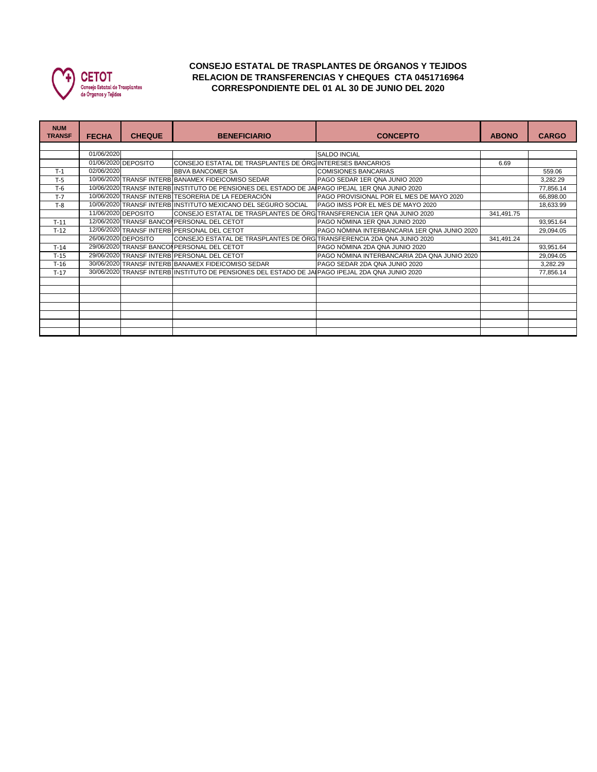

## **CONSEJO ESTATAL DE TRASPLANTES DE ÓRGANOS Y TEJIDOS RELACION DE TRANSFERENCIAS Y CHEQUES CTA 0451716964 CORRESPONDIENTE DEL 01 AL 30 DE JUNIO DEL 2020**

| <b>NUM</b><br><b>TRANSF</b> | <b>FECHA</b> | <b>CHEQUE</b>       | <b>BENEFICIARIO</b>                                                                             | <b>CONCEPTO</b>                              | <b>ABONO</b> | <b>CARGO</b> |  |  |  |
|-----------------------------|--------------|---------------------|-------------------------------------------------------------------------------------------------|----------------------------------------------|--------------|--------------|--|--|--|
|                             |              |                     |                                                                                                 |                                              |              |              |  |  |  |
|                             | 01/06/2020   |                     |                                                                                                 | <b>SALDO INCIAL</b>                          |              |              |  |  |  |
|                             |              | 01/06/2020 DEPOSITO | CONSEJO ESTATAL DE TRASPLANTES DE ÓRG INTERESES BANCARIOS                                       |                                              | 6.69         |              |  |  |  |
| $T-1$                       | 02/06/2020   |                     | <b>BBVA BANCOMER SA</b>                                                                         | <b>COMISIONES BANCARIAS</b>                  |              | 559.06       |  |  |  |
| $T-5$                       |              |                     | 10/06/2020 TRANSF INTERB BANAMEX FIDEICOMISO SEDAR                                              | PAGO SEDAR 1ER QNA JUNIO 2020                |              | 3,282.29     |  |  |  |
| $T-6$                       |              |                     | 10/06/2020 TRANSF INTERB INSTITUTO DE PENSIONES DEL ESTADO DE JAIPAGO IPEJAL 1ER QNA JUNIO 2020 |                                              |              | 77,856.14    |  |  |  |
| $T-7$                       |              |                     | 10/06/2020 TRANSF INTERB TESORERIA DE LA FEDERACIÓN                                             | PAGO PROVISIONAL POR EL MES DE MAYO 2020     |              | 66,898.00    |  |  |  |
| $T-8$                       |              |                     | 10/06/2020 TRANSF INTERB INSTITUTO MEXICANO DEL SEGURO SOCIAL                                   | PAGO IMSS POR EL MES DE MAYO 2020            |              | 18,633.99    |  |  |  |
|                             |              | 11/06/2020 DEPOSITO | CONSEJO ESTATAL DE TRASPLANTES DE ÓRG TRANSFERENCIA 1ER QNA JUNIO 2020                          |                                              | 341,491.75   |              |  |  |  |
| $T-11$                      |              |                     | 12/06/2020 TRANSF BANCON PERSONAL DEL CETOT                                                     | PAGO NÓMINA 1ER QNA JUNIO 2020               |              | 93,951.64    |  |  |  |
| $T-12$                      |              |                     | 12/06/2020 TRANSF INTERB PERSONAL DEL CETOT                                                     | PAGO NÓMINA INTERBANCARIA 1ER QNA JUNIO 2020 |              | 29,094.05    |  |  |  |
|                             |              | 26/06/2020 DEPOSITO | CONSEJO ESTATAL DE TRASPLANTES DE ÓRG TRANSFERENCIA 2DA QNA JUNIO 2020                          |                                              | 341,491.24   |              |  |  |  |
| $T-14$                      |              |                     | 29/06/2020 TRANSF BANCONPERSONAL DEL CETOT                                                      | PAGO NÓMINA 2DA QNA JUNIO 2020               |              | 93,951.64    |  |  |  |
| $T-15$                      |              |                     | 29/06/2020 TRANSF INTERB PERSONAL DEL CETOT                                                     | PAGO NÓMINA INTERBANCARIA 2DA QNA JUNIO 2020 |              | 29,094.05    |  |  |  |
| $T-16$                      |              |                     | 30/06/2020 TRANSF INTERB BANAMEX FIDEICOMISO SEDAR                                              | PAGO SEDAR 2DA QNA JUNIO 2020                |              | 3,282.29     |  |  |  |
| $T-17$                      |              |                     | 30/06/2020 TRANSF INTERB INSTITUTO DE PENSIONES DEL ESTADO DE JAIPAGO IPEJAL 2DA QNA JUNIO 2020 |                                              |              | 77,856.14    |  |  |  |
|                             |              |                     |                                                                                                 |                                              |              |              |  |  |  |
|                             |              |                     |                                                                                                 |                                              |              |              |  |  |  |
|                             |              |                     |                                                                                                 |                                              |              |              |  |  |  |
|                             |              |                     |                                                                                                 |                                              |              |              |  |  |  |
|                             |              |                     |                                                                                                 |                                              |              |              |  |  |  |
|                             |              |                     |                                                                                                 |                                              |              |              |  |  |  |
|                             |              |                     |                                                                                                 |                                              |              |              |  |  |  |